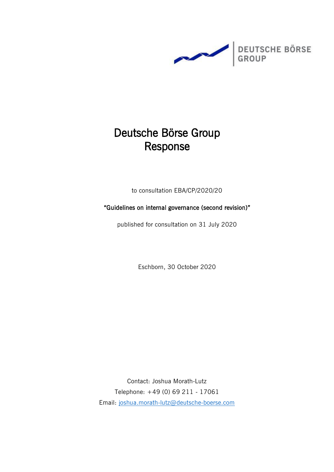

# Deutsche Börse Group Response

to consultation EBA/CP/2020/20

"Guidelines on internal governance (second revision)"

published for consultation on 31 July 2020

Eschborn, 30 October 2020

Contact: Joshua Morath-Lutz Telephone: +49 (0) 69 211 - 17061 Email: [joshua.morath-lutz@deutsche-boerse.com](mailto:joshua.morath-lutz@deutsche-boerse.com)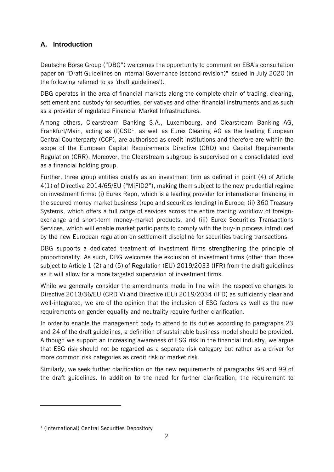## **A. Introduction**

Deutsche Börse Group ("DBG") welcomes the opportunity to comment on EBA's consultation paper on "Draft Guidelines on Internal Governance (second revision)" issued in July 2020 (in the following referred to as 'draft guidelines').

DBG operates in the area of financial markets along the complete chain of trading, clearing, settlement and custody for securities, derivatives and other financial instruments and as such as a provider of regulated Financial Market Infrastructures.

Among others, Clearstream Banking S.A., Luxembourg, and Clearstream Banking AG, Frankfurt/Main, acting as  $(1)CSD<sup>1</sup>$ , as well as Eurex Clearing AG as the leading European Central Counterparty (CCP), are authorised as credit institutions and therefore are within the scope of the European Capital Requirements Directive (CRD) and Capital Requirements Regulation (CRR). Moreover, the Clearstream subgroup is supervised on a consolidated level as a financial holding group.

Further, three group entities qualify as an investment firm as defined in point (4) of Article 4(1) of Directive 2014/65/EU ("MiFID2"), making them subject to the new prudential regime on investment firms: (i) Eurex Repo, which is a leading provider for international financing in the secured money market business (repo and securities lending) in Europe; (ii) 360 Treasury Systems, which offers a full range of services across the entire trading workflow of foreignexchange and short-term money-market products, and (iii) Eurex Securities Transactions Services, which will enable market participants to comply with the buy-in process introduced by the new European regulation on settlement discipline for securities trading transactions.

DBG supports a dedicated treatment of investment firms strengthening the principle of proportionality. As such, DBG welcomes the exclusion of investment firms (other than those subject to Article 1 (2) and (5) of Regulation (EU) 2019/2033 (IFR) from the draft guidelines as it will allow for a more targeted supervision of investment firms.

While we generally consider the amendments made in line with the respective changes to Directive 2013/36/EU (CRD V) and Directive (EU) 2019/2034 (IFD) as sufficiently clear and well-integrated, we are of the opinion that the inclusion of ESG factors as well as the new requirements on gender equality and neutrality require further clarification.

In order to enable the management body to attend to its duties according to paragraphs 23 and 24 of the draft guidelines, a definition of sustainable business model should be provided. Although we support an increasing awareness of ESG risk in the financial industry, we argue that ESG risk should not be regarded as a separate risk category but rather as a driver for more common risk categories as credit risk or market risk.

Similarly, we seek further clarification on the new requirements of paragraphs 98 and 99 of the draft guidelines. In addition to the need for further clarification, the requirement to

<sup>&</sup>lt;sup>1</sup> (International) Central Securities Depository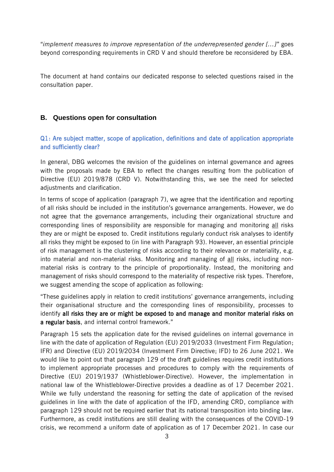"*implement measures to improve representation of the underrepresented gender […]*" goes beyond corresponding requirements in CRD V and should therefore be reconsidered by EBA.

The document at hand contains our dedicated response to selected questions raised in the consultation paper.

#### **B. Questions open for consultation**

#### Q1: Are subject matter, scope of application, definitions and date of application appropriate and sufficiently clear?

In general, DBG welcomes the revision of the guidelines on internal governance and agrees with the proposals made by EBA to reflect the changes resulting from the publication of Directive (EU) 2019/878 (CRD V). Notwithstanding this, we see the need for selected adjustments and clarification.

In terms of scope of application (paragraph 7), we agree that the identification and reporting of all risks should be included in the institution's governance arrangements. However, we do not agree that the governance arrangements, including their organizational structure and corresponding lines of responsibility are responsible for managing and monitoring all risks they are or might be exposed to. Credit institutions regularly conduct risk analyses to identify all risks they might be exposed to (in line with Paragraph 93). However, an essential principle of risk management is the clustering of risks according to their relevance or materiality, e.g. into material and non-material risks. Monitoring and managing of all risks, including nonmaterial risks is contrary to the principle of proportionality. Instead, the monitoring and management of risks should correspond to the materiality of respective risk types. Therefore, we suggest amending the scope of application as following:

"These guidelines apply in relation to credit institutions' governance arrangements, including their organisational structure and the corresponding lines of responsibility, processes to identify all risks they are or might be exposed to and manage and monitor material risks on a regular basis, and internal control framework."

Paragraph 15 sets the application date for the revised guidelines on internal governance in line with the date of application of Regulation (EU) 2019/2033 (Investment Firm Regulation; IFR) and Directive (EU) 2019/2034 (Investment Firm Directive; IFD) to 26 June 2021. We would like to point out that paragraph 129 of the draft guidelines requires credit institutions to implement appropriate processes and procedures to comply with the requirements of Directive (EU) 2019/1937 (Whistleblower-Directive). However, the implementation in national law of the Whistleblower-Directive provides a deadline as of 17 December 2021. While we fully understand the reasoning for setting the date of application of the revised guidelines in line with the date of application of the IFD, amending CRD, compliance with paragraph 129 should not be required earlier that its national transposition into binding law. Furthermore, as credit institutions are still dealing with the consequences of the COVID-19 crisis, we recommend a uniform date of application as of 17 December 2021. In case our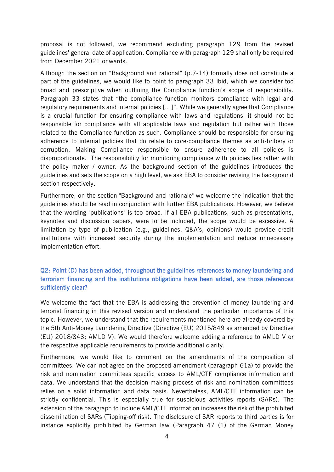proposal is not followed, we recommend excluding paragraph 129 from the revised guidelines' general date of application. Compliance with paragraph 129 shall only be required from December 2021 onwards.

Although the section on "Background and rational" (p.7-14) formally does not constitute a part of the guidelines, we would like to point to paragraph 33 ibid, which we consider too broad and prescriptive when outlining the Compliance function's scope of responsibility. Paragraph 33 states that "the compliance function monitors compliance with legal and regulatory requirements and internal policies […]". While we generally agree that Compliance is a crucial function for ensuring compliance with laws and regulations, it should not be responsible for compliance with all applicable laws and regulation but rather with those related to the Compliance function as such. Compliance should be responsible for ensuring adherence to internal policies that do relate to core-compliance themes as anti-bribery or corruption. Making Compliance responsible to ensure adherence to all policies is disproportionate. The responsibility for monitoring compliance with policies lies rather with the policy maker / owner. As the background section of the guidelines introduces the guidelines and sets the scope on a high level, we ask EBA to consider revising the background section respectively.

Furthermore, on the section "Background and rationale" we welcome the indication that the guidelines should be read in conjunction with further EBA publications. However, we believe that the wording "publications" is too broad. If all EBA publications, such as presentations, keynotes and discussion papers, were to be included, the scope would be excessive. A limitation by type of publication (e.g., guidelines, Q&A's, opinions) would provide credit institutions with increased security during the implementation and reduce unnecessary implementation effort.

## Q2: Point (D) has been added, throughout the guidelines references to money laundering and terrorism financing and the institutions obligations have been added, are those references sufficiently clear?

We welcome the fact that the EBA is addressing the prevention of money laundering and terrorist financing in this revised version and understand the particular importance of this topic. However, we understand that the requirements mentioned here are already covered by the 5th Anti-Money Laundering Directive (Directive (EU) 2015/849 as amended by Directive (EU) 2018/843; AMLD V). We would therefore welcome adding a reference to AMLD V or the respective applicable requirements to provide additional clarity.

Furthermore, we would like to comment on the amendments of the composition of committees. We can not agree on the proposed amendment (paragraph 61a) to provide the risk and nomination committees specific access to AML/CTF compliance information and data. We understand that the decision-making process of risk and nomination committees relies on a solid information and data basis. Nevertheless, AML/CTF information can be strictly confidential. This is especially true for suspicious activities reports (SARs). The extension of the paragraph to include AML/CTF information increases the risk of the prohibited dissemination of SARs (Tipping-off risk). The disclosure of SAR reports to third parties is for instance explicitly prohibited by German law (Paragraph 47 (1) of the German Money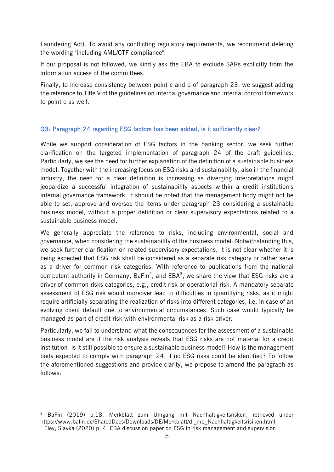Laundering Act). To avoid any conflicting regulatory requirements, we recommend deleting the wording "including AML/CTF compliance".

If our proposal is not followed, we kindly ask the EBA to exclude SARs explicitly from the information access of the committees.

Finally, to increase consistency between point c and d of paragraph 23, we suggest adding the reference to Title V of the guidelines on internal governance and internal control framework to point c as well.

#### Q3: Paragraph 24 regarding ESG factors has been added, is it sufficiently clear?

While we support consideration of ESG factors in the banking sector, we seek further clarification on the targeted implementation of paragraph 24 of the draft guidelines. Particularly, we see the need for further explanation of the definition of a sustainable business model. Together with the increasing focus on ESG risks and sustainability, also in the financial industry, the need for a clear definition is increasing as diverging interpretations might jeopardize a successful integration of sustainability aspects within a credit institution's internal governance framework. It should be noted that the management body might not be able to set, approve and oversee the items under paragraph 23 considering a sustainable business model, without a proper definition or clear supervisory expectations related to a sustainable business model.

We generally appreciate the reference to risks, including environmental, social and governance, when considering the sustainability of the business model. Notwithstanding this, we seek further clarification on related supervisory expectations. It is not clear whether it is being expected that ESG risk shall be considered as a separate risk category or rather serve as a driver for common risk categories. With reference to publications from the national competent authority in Germany, BaFin<sup>2</sup>, and EBA<sup>3</sup>, we share the view that ESG risks are a driver of common risks categories, e.g., credit risk or operational risk. A mandatory separate assessment of ESG risk would moreover lead to difficulties in quantifying risks, as it might require artificially separating the realization of risks into different categories, i.e. in case of an evolving client default due to environmental circumstances. Such case would typically be managed as part of credit risk with environmental risk as a risk driver.

Particularly, we fail to understand what the consequences for the assessment of a sustainable business model are if the risk analysis reveals that ESG risks are not material for a credit institution- is it still possible to ensure a sustainable business model? How is the management body expected to comply with paragraph 24, if no ESG risks could be identified? To follow the aforementioned suggestions and provide clarity, we propose to amend the paragraph as follows:

<sup>&</sup>lt;sup>2</sup> BaFin (2019) p.18, Merkblatt zum Umgang mit Nachhaltigkeitsrisken, retrieved under https://www.bafin.de/SharedDocs/Downloads/DE/Merkblatt/dl\_mb\_Nachhaltigkeitsrisiken.html <sup>3</sup> Eley, Slavka (2020) p. 4, EBA discussion paper on ESG in risk management and supervision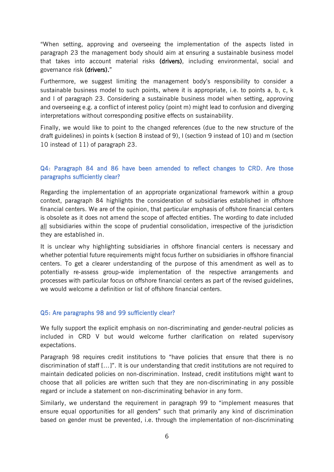"When setting, approving and overseeing the implementation of the aspects listed in paragraph 23 the management body should aim at ensuring a sustainable business model that takes into account material risks (drivers), including environmental, social and governance risk (drivers)."

Furthermore, we suggest limiting the management body's responsibility to consider a sustainable business model to such points, where it is appropriate, i.e. to points a, b, c, k and l of paragraph 23. Considering a sustainable business model when setting, approving and overseeing e.g. a conflict of interest policy (point m) might lead to confusion and diverging interpretations without corresponding positive effects on sustainability.

Finally, we would like to point to the changed references (due to the new structure of the draft guidelines) in points k (section 8 instead of 9), l (section 9 instead of 10) and m (section 10 instead of 11) of paragraph 23.

## Q4: Paragraph 84 and 86 have been amended to reflect changes to CRD. Are those paragraphs sufficiently clear?

Regarding the implementation of an appropriate organizational framework within a group context, paragraph 84 highlights the consideration of subsidiaries established in offshore financial centers. We are of the opinion, that particular emphasis of offshore financial centers is obsolete as it does not amend the scope of affected entities. The wording to date included all subsidiaries within the scope of prudential consolidation, irrespective of the jurisdiction they are established in.

It is unclear why highlighting subsidiaries in offshore financial centers is necessary and whether potential future requirements might focus further on subsidiaries in offshore financial centers. To get a clearer understanding of the purpose of this amendment as well as to potentially re-assess group-wide implementation of the respective arrangements and processes with particular focus on offshore financial centers as part of the revised guidelines, we would welcome a definition or list of offshore financial centers.

#### Q5: Are paragraphs 98 and 99 sufficiently clear?

We fully support the explicit emphasis on non-discriminating and gender-neutral policies as included in CRD V but would welcome further clarification on related supervisory expectations.

Paragraph 98 requires credit institutions to "have policies that ensure that there is no discrimination of staff […]". It is our understanding that credit institutions are not required to maintain dedicated policies on non-discrimination. Instead, credit institutions might want to choose that all policies are written such that they are non-discriminating in any possible regard or include a statement on non-discriminating behavior in any form.

Similarly, we understand the requirement in paragraph 99 to "implement measures that ensure equal opportunities for all genders" such that primarily any kind of discrimination based on gender must be prevented, i.e. through the implementation of non-discriminating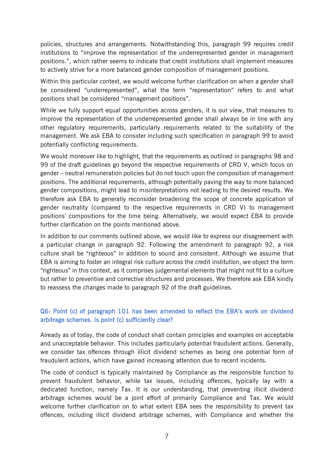policies, structures and arrangements. Notwithstanding this, paragraph 99 requires credit institutions to "improve the representation of the underrepresented gender in management positions.", which rather seems to indicate that credit institutions shall implement measures to actively strive for a more balanced gender composition of management positions.

Within this particular context, we would welcome further clarification on when a gender shall be considered "underrepresented", what the term "representation" refers to and what positions shall be considered "management positions".

While we fully support equal opportunities across genders, it is our view, that measures to improve the representation of the underrepresented gender shall always be in line with any other regulatory requirements, particularly requirements related to the suitability of the management. We ask EBA to consider including such specification in paragraph 99 to avoid potentially conflicting requirements.

We would moreover like to highlight, that the requirements as outlined in paragraphs 98 and 99 of the draft guidelines go beyond the respective requirements of CRD V, which focus on gender – neutral remuneration policies but do not touch upon the composition of management positions. The additional requirements, although potentially paving the way to more balanced gender compositions, might lead to misinterpretations not leading to the desired results. We therefore ask EBA to generally reconsider broadening the scope of concrete application of gender neutrality (compared to the respective requirements in CRD V) to management positions' compositions for the time being. Alternatively, we would expect EBA to provide further clarification on the points mentioned above.

In addition to our comments outlined above, we would like to express our disagreement with a particular change in paragraph 92. Following the amendment to paragraph 92, a risk culture shall be "righteous" in addition to sound and consistent. Although we assume that EBA is aiming to foster an integral risk culture across the credit institution, we object the term "righteous" in this context, as it comprises judgemental elements that might not fit to a culture but rather to preventive and corrective structures and processes. We therefore ask EBA kindly to reassess the changes made to paragraph 92 of the draft guidelines.

#### Q6: Point (c) of paragraph 101 has been amended to reflect the EBA's work on dividend arbitrage schemes. Is point (c) sufficiently clear?

Already as of today, the code of conduct shall contain principles and examples on acceptable and unacceptable behavior. This includes particularly potential fraudulent actions. Generally, we consider tax offences through illicit dividend schemes as being one potential form of fraudulent actions, which have gained increasing attention due to recent incidents.

The code of conduct is typically maintained by Compliance as the responsible function to prevent fraudulent behavior, while tax issues, including offences, typically lay with a dedicated function, namely Tax. It is our understanding, that preventing illicit dividend arbitrage schemes would be a joint effort of primarily Compliance and Tax. We would welcome further clarification on to what extent EBA sees the responsibility to prevent tax offences, including illicit dividend arbitrage schemes, with Compliance and whether the